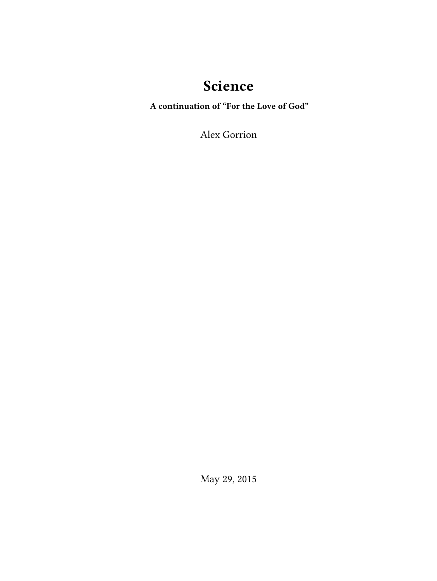# **Science**

**A continuation of "For the Love of God"**

Alex Gorrion

May 29, 2015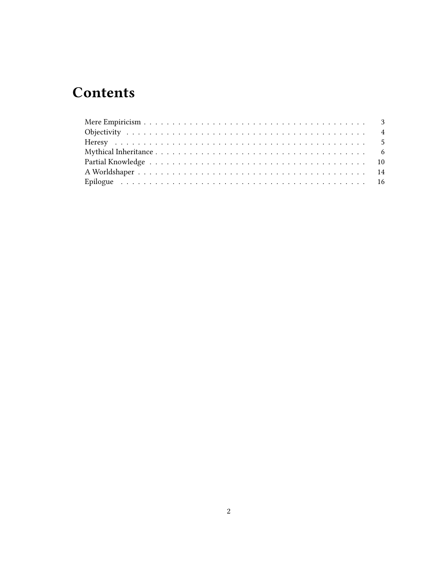# **Contents**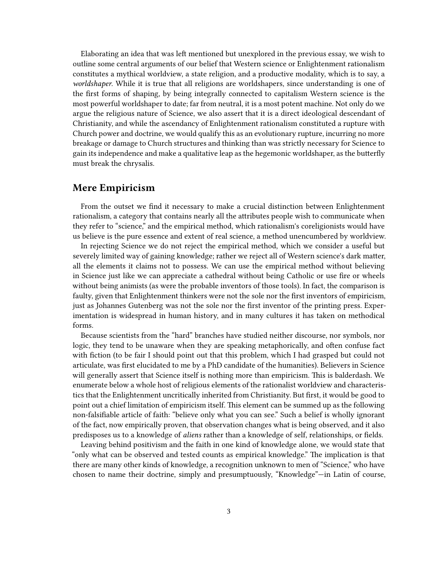Elaborating an idea that was left mentioned but unexplored in the previous essay, we wish to outline some central arguments of our belief that Western science or Enlightenment rationalism constitutes a mythical worldview, a state religion, and a productive modality, which is to say, a *worldshaper*. While it is true that all religions are worldshapers, since understanding is one of the first forms of shaping, by being integrally connected to capitalism Western science is the most powerful worldshaper to date; far from neutral, it is a most potent machine. Not only do we argue the religious nature of Science, we also assert that it is a direct ideological descendant of Christianity, and while the ascendancy of Enlightenment rationalism constituted a rupture with Church power and doctrine, we would qualify this as an evolutionary rupture, incurring no more breakage or damage to Church structures and thinking than was strictly necessary for Science to gain its independence and make a qualitative leap as the hegemonic worldshaper, as the butterfly must break the chrysalis.

#### <span id="page-2-0"></span>**Mere Empiricism**

From the outset we find it necessary to make a crucial distinction between Enlightenment rationalism, a category that contains nearly all the attributes people wish to communicate when they refer to "science," and the empirical method, which rationalism's coreligionists would have us believe is the pure essence and extent of real science, a method unencumbered by worldview.

In rejecting Science we do not reject the empirical method, which we consider a useful but severely limited way of gaining knowledge; rather we reject all of Western science's dark matter, all the elements it claims not to possess. We can use the empirical method without believing in Science just like we can appreciate a cathedral without being Catholic or use fire or wheels without being animists (as were the probable inventors of those tools). In fact, the comparison is faulty, given that Enlightenment thinkers were not the sole nor the first inventors of empiricism, just as Johannes Gutenberg was not the sole nor the first inventor of the printing press. Experimentation is widespread in human history, and in many cultures it has taken on methodical forms.

Because scientists from the "hard" branches have studied neither discourse, nor symbols, nor logic, they tend to be unaware when they are speaking metaphorically, and often confuse fact with fiction (to be fair I should point out that this problem, which I had grasped but could not articulate, was first elucidated to me by a PhD candidate of the humanities). Believers in Science will generally assert that Science itself is nothing more than empiricism. This is balderdash. We enumerate below a whole host of religious elements of the rationalist worldview and characteristics that the Enlightenment uncritically inherited from Christianity. But first, it would be good to point out a chief limitation of empiricism itself. This element can be summed up as the following non-falsifiable article of faith: "believe only what you can see." Such a belief is wholly ignorant of the fact, now empirically proven, that observation changes what is being observed, and it also predisposes us to a knowledge of *aliens* rather than a knowledge of self, relationships, or fields.

Leaving behind positivism and the faith in one kind of knowledge alone, we would state that "only what can be observed and tested counts as empirical knowledge." The implication is that there are many other kinds of knowledge, a recognition unknown to men of "Science," who have chosen to name their doctrine, simply and presumptuously, "Knowledge"—in Latin of course,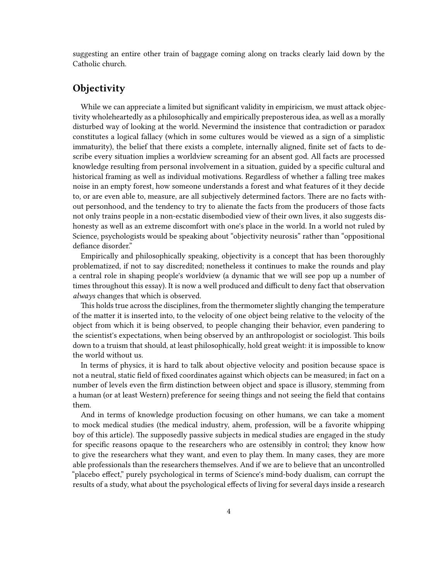suggesting an entire other train of baggage coming along on tracks clearly laid down by the Catholic church.

# <span id="page-3-0"></span>**Objectivity**

While we can appreciate a limited but significant validity in empiricism, we must attack objectivity wholeheartedly as a philosophically and empirically preposterous idea, as well as a morally disturbed way of looking at the world. Nevermind the insistence that contradiction or paradox constitutes a logical fallacy (which in some cultures would be viewed as a sign of a simplistic immaturity), the belief that there exists a complete, internally aligned, finite set of facts to describe every situation implies a worldview screaming for an absent god. All facts are processed knowledge resulting from personal involvement in a situation, guided by a specific cultural and historical framing as well as individual motivations. Regardless of whether a falling tree makes noise in an empty forest, how someone understands a forest and what features of it they decide to, or are even able to, measure, are all subjectively determined factors. There are no facts without personhood, and the tendency to try to alienate the facts from the producers of those facts not only trains people in a non-ecstatic disembodied view of their own lives, it also suggests dishonesty as well as an extreme discomfort with one's place in the world. In a world not ruled by Science, psychologists would be speaking about "objectivity neurosis" rather than "oppositional defiance disorder."

Empirically and philosophically speaking, objectivity is a concept that has been thoroughly problematized, if not to say discredited; nonetheless it continues to make the rounds and play a central role in shaping people's worldview (a dynamic that we will see pop up a number of times throughout this essay). It is now a well produced and difficult to deny fact that observation *always* changes that which is observed.

This holds true across the disciplines, from the thermometer slightly changing the temperature of the matter it is inserted into, to the velocity of one object being relative to the velocity of the object from which it is being observed, to people changing their behavior, even pandering to the scientist's expectations, when being observed by an anthropologist or sociologist. This boils down to a truism that should, at least philosophically, hold great weight: it is impossible to know the world without us.

In terms of physics, it is hard to talk about objective velocity and position because space is not a neutral, static field of fixed coordinates against which objects can be measured; in fact on a number of levels even the firm distinction between object and space is illusory, stemming from a human (or at least Western) preference for seeing things and not seeing the field that contains them.

And in terms of knowledge production focusing on other humans, we can take a moment to mock medical studies (the medical industry, ahem, profession, will be a favorite whipping boy of this article). The supposedly passive subjects in medical studies are engaged in the study for specific reasons opaque to the researchers who are ostensibly in control; they know how to give the researchers what they want, and even to play them. In many cases, they are more able professionals than the researchers themselves. And if we are to believe that an uncontrolled "placebo effect," purely psychological in terms of Science's mind-body dualism, can corrupt the results of a study, what about the psychological effects of living for several days inside a research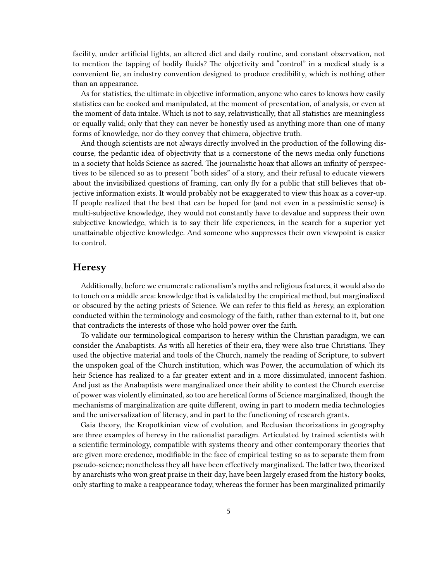facility, under artificial lights, an altered diet and daily routine, and constant observation, not to mention the tapping of bodily fluids? The objectivity and "control" in a medical study is a convenient lie, an industry convention designed to produce credibility, which is nothing other than an appearance.

As for statistics, the ultimate in objective information, anyone who cares to knows how easily statistics can be cooked and manipulated, at the moment of presentation, of analysis, or even at the moment of data intake. Which is not to say, relativistically, that all statistics are meaningless or equally valid; only that they can never be honestly used as anything more than one of many forms of knowledge, nor do they convey that chimera, objective truth.

And though scientists are not always directly involved in the production of the following discourse, the pedantic idea of objectivity that is a cornerstone of the news media only functions in a society that holds Science as sacred. The journalistic hoax that allows an infinity of perspectives to be silenced so as to present "both sides" of a story, and their refusal to educate viewers about the invisibilized questions of framing, can only fly for a public that still believes that objective information exists. It would probably not be exaggerated to view this hoax as a cover-up. If people realized that the best that can be hoped for (and not even in a pessimistic sense) is multi-subjective knowledge, they would not constantly have to devalue and suppress their own subjective knowledge, which is to say their life experiences, in the search for a superior yet unattainable objective knowledge. And someone who suppresses their own viewpoint is easier to control.

#### <span id="page-4-0"></span>**Heresy**

Additionally, before we enumerate rationalism's myths and religious features, it would also do to touch on a middle area: knowledge that is validated by the empirical method, but marginalized or obscured by the acting priests of Science. We can refer to this field as *heresy*, an exploration conducted within the terminology and cosmology of the faith, rather than external to it, but one that contradicts the interests of those who hold power over the faith.

To validate our terminological comparison to heresy within the Christian paradigm, we can consider the Anabaptists. As with all heretics of their era, they were also true Christians. They used the objective material and tools of the Church, namely the reading of Scripture, to subvert the unspoken goal of the Church institution, which was Power, the accumulation of which its heir Science has realized to a far greater extent and in a more dissimulated, innocent fashion. And just as the Anabaptists were marginalized once their ability to contest the Church exercise of power was violently eliminated, so too are heretical forms of Science marginalized, though the mechanisms of marginalization are quite different, owing in part to modern media technologies and the universalization of literacy, and in part to the functioning of research grants.

Gaia theory, the Kropotkinian view of evolution, and Reclusian theorizations in geography are three examples of heresy in the rationalist paradigm. Articulated by trained scientists with a scientific terminology, compatible with systems theory and other contemporary theories that are given more credence, modifiable in the face of empirical testing so as to separate them from pseudo-science; nonetheless they all have been effectively marginalized. The latter two, theorized by anarchists who won great praise in their day, have been largely erased from the history books, only starting to make a reappearance today, whereas the former has been marginalized primarily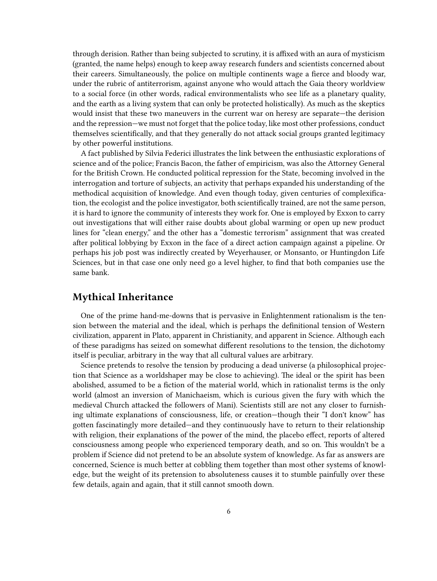through derision. Rather than being subjected to scrutiny, it is affixed with an aura of mysticism (granted, the name helps) enough to keep away research funders and scientists concerned about their careers. Simultaneously, the police on multiple continents wage a fierce and bloody war, under the rubric of antiterrorism, against anyone who would attach the Gaia theory worldview to a social force (in other words, radical environmentalists who see life as a planetary quality, and the earth as a living system that can only be protected holistically). As much as the skeptics would insist that these two maneuvers in the current war on heresy are separate—the derision and the repression—we must not forget that the police today, like most other professions, conduct themselves scientifically, and that they generally do not attack social groups granted legitimacy by other powerful institutions.

A fact published by Silvia Federici illustrates the link between the enthusiastic explorations of science and of the police; Francis Bacon, the father of empiricism, was also the Attorney General for the British Crown. He conducted political repression for the State, becoming involved in the interrogation and torture of subjects, an activity that perhaps expanded his understanding of the methodical acquisition of knowledge. And even though today, given centuries of complexification, the ecologist and the police investigator, both scientifically trained, are not the same person, it is hard to ignore the community of interests they work for. One is employed by Exxon to carry out investigations that will either raise doubts about global warming or open up new product lines for "clean energy," and the other has a "domestic terrorism" assignment that was created after political lobbying by Exxon in the face of a direct action campaign against a pipeline. Or perhaps his job post was indirectly created by Weyerhauser, or Monsanto, or Huntingdon Life Sciences, but in that case one only need go a level higher, to find that both companies use the same bank.

## <span id="page-5-0"></span>**Mythical Inheritance**

One of the prime hand-me-downs that is pervasive in Enlightenment rationalism is the tension between the material and the ideal, which is perhaps the definitional tension of Western civilization, apparent in Plato, apparent in Christianity, and apparent in Science. Although each of these paradigms has seized on somewhat different resolutions to the tension, the dichotomy itself is peculiar, arbitrary in the way that all cultural values are arbitrary.

Science pretends to resolve the tension by producing a dead universe (a philosophical projection that Science as a worldshaper may be close to achieving). The ideal or the spirit has been abolished, assumed to be a fiction of the material world, which in rationalist terms is the only world (almost an inversion of Manichaeism, which is curious given the fury with which the medieval Church attacked the followers of Mani). Scientists still are not any closer to furnishing ultimate explanations of consciousness, life, or creation—though their "I don't know" has gotten fascinatingly more detailed—and they continuously have to return to their relationship with religion, their explanations of the power of the mind, the placebo effect, reports of altered consciousness among people who experienced temporary death, and so on. This wouldn't be a problem if Science did not pretend to be an absolute system of knowledge. As far as answers are concerned, Science is much better at cobbling them together than most other systems of knowledge, but the weight of its pretension to absoluteness causes it to stumble painfully over these few details, again and again, that it still cannot smooth down.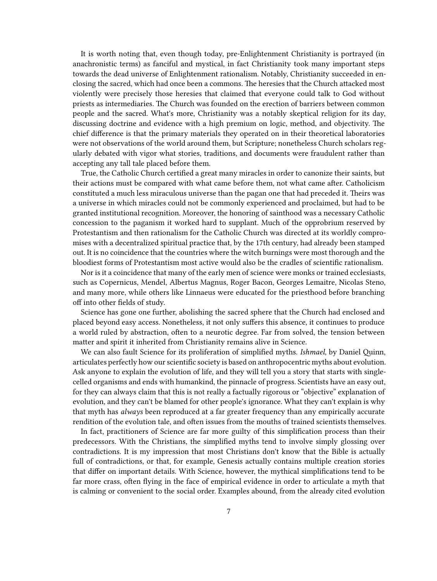It is worth noting that, even though today, pre-Enlightenment Christianity is portrayed (in anachronistic terms) as fanciful and mystical, in fact Christianity took many important steps towards the dead universe of Enlightenment rationalism. Notably, Christianity succeeded in enclosing the sacred, which had once been a commons. The heresies that the Church attacked most violently were precisely those heresies that claimed that everyone could talk to God without priests as intermediaries. The Church was founded on the erection of barriers between common people and the sacred. What's more, Christianity was a notably skeptical religion for its day, discussing doctrine and evidence with a high premium on logic, method, and objectivity. The chief difference is that the primary materials they operated on in their theoretical laboratories were not observations of the world around them, but Scripture; nonetheless Church scholars regularly debated with vigor what stories, traditions, and documents were fraudulent rather than accepting any tall tale placed before them.

True, the Catholic Church certified a great many miracles in order to canonize their saints, but their actions must be compared with what came before them, not what came after. Catholicism constituted a much less miraculous universe than the pagan one that had preceded it. Theirs was a universe in which miracles could not be commonly experienced and proclaimed, but had to be granted institutional recognition. Moreover, the honoring of sainthood was a necessary Catholic concession to the paganism it worked hard to supplant. Much of the opprobrium reserved by Protestantism and then rationalism for the Catholic Church was directed at its worldly compromises with a decentralized spiritual practice that, by the 17th century, had already been stamped out. It is no coincidence that the countries where the witch burnings were most thorough and the bloodiest forms of Protestantism most active would also be the cradles of scientific rationalism.

Nor is it a coincidence that many of the early men of science were monks or trained ecclesiasts, such as Copernicus, Mendel, Albertus Magnus, Roger Bacon, Georges Lemaitre, Nicolas Steno, and many more, while others like Linnaeus were educated for the priesthood before branching off into other fields of study.

Science has gone one further, abolishing the sacred sphere that the Church had enclosed and placed beyond easy access. Nonetheless, it not only suffers this absence, it continues to produce a world ruled by abstraction, often to a neurotic degree. Far from solved, the tension between matter and spirit it inherited from Christianity remains alive in Science.

We can also fault Science for its proliferation of simplified myths. *Ishmael*, by Daniel Quinn, articulates perfectly how our scientific society is based on anthropocentric myths about evolution. Ask anyone to explain the evolution of life, and they will tell you a story that starts with singlecelled organisms and ends with humankind, the pinnacle of progress. Scientists have an easy out, for they can always claim that this is not really a factually rigorous or "objective" explanation of evolution, and they can't be blamed for other people's ignorance. What they can't explain is why that myth has *always* been reproduced at a far greater frequency than any empirically accurate rendition of the evolution tale, and often issues from the mouths of trained scientists themselves.

In fact, practitioners of Science are far more guilty of this simplification process than their predecessors. With the Christians, the simplified myths tend to involve simply glossing over contradictions. It is my impression that most Christians don't know that the Bible is actually full of contradictions, or that, for example, Genesis actually contains multiple creation stories that differ on important details. With Science, however, the mythical simplifications tend to be far more crass, often flying in the face of empirical evidence in order to articulate a myth that is calming or convenient to the social order. Examples abound, from the already cited evolution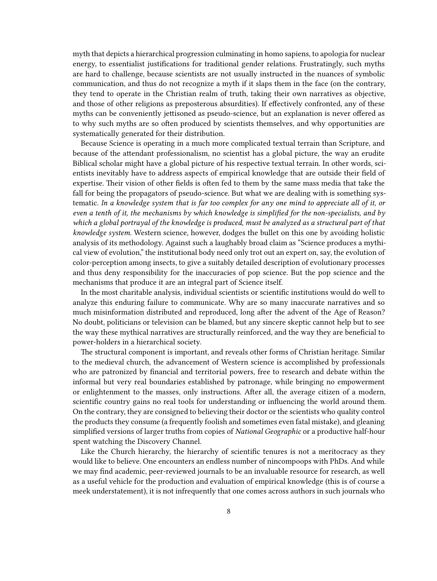myth that depicts a hierarchical progression culminating in homo sapiens, to apologia for nuclear energy, to essentialist justifications for traditional gender relations. Frustratingly, such myths are hard to challenge, because scientists are not usually instructed in the nuances of symbolic communication, and thus do not recognize a myth if it slaps them in the face (on the contrary, they tend to operate in the Christian realm of truth, taking their own narratives as objective, and those of other religions as preposterous absurdities). If effectively confronted, any of these myths can be conveniently jettisoned as pseudo-science, but an explanation is never offered as to why such myths are so often produced by scientists themselves, and why opportunities are systematically generated for their distribution.

Because Science is operating in a much more complicated textual terrain than Scripture, and because of the attendant professionalism, no scientist has a global picture, the way an erudite Biblical scholar might have a global picture of his respective textual terrain. In other words, scientists inevitably have to address aspects of empirical knowledge that are outside their field of expertise. Their vision of other fields is often fed to them by the same mass media that take the fall for being the propagators of pseudo-science. But what we are dealing with is something systematic. *In a knowledge system that is far too complex for any one mind to appreciate all of it, or even a tenth of it, the mechanisms by which knowledge is simplified for the non-specialists, and by which a global portrayal of the knowledge is produced, must be analyzed as a structural part of that knowledge system.* Western science, however, dodges the bullet on this one by avoiding holistic analysis of its methodology. Against such a laughably broad claim as "Science produces a mythical view of evolution," the institutional body need only trot out an expert on, say, the evolution of color-perception among insects, to give a suitably detailed description of evolutionary processes and thus deny responsibility for the inaccuracies of pop science. But the pop science and the mechanisms that produce it are an integral part of Science itself.

In the most charitable analysis, individual scientists or scientific institutions would do well to analyze this enduring failure to communicate. Why are so many inaccurate narratives and so much misinformation distributed and reproduced, long after the advent of the Age of Reason? No doubt, politicians or television can be blamed, but any sincere skeptic cannot help but to see the way these mythical narratives are structurally reinforced, and the way they are beneficial to power-holders in a hierarchical society.

The structural component is important, and reveals other forms of Christian heritage. Similar to the medieval church, the advancement of Western science is accomplished by professionals who are patronized by financial and territorial powers, free to research and debate within the informal but very real boundaries established by patronage, while bringing no empowerment or enlightenment to the masses, only instructions. After all, the average citizen of a modern, scientific country gains no real tools for understanding or influencing the world around them. On the contrary, they are consigned to believing their doctor or the scientists who quality control the products they consume (a frequently foolish and sometimes even fatal mistake), and gleaning simplified versions of larger truths from copies of *National Geographic* or a productive half-hour spent watching the Discovery Channel.

Like the Church hierarchy, the hierarchy of scientific tenures is not a meritocracy as they would like to believe. One encounters an endless number of nincompoops with PhDs. And while we may find academic, peer-reviewed journals to be an invaluable resource for research, as well as a useful vehicle for the production and evaluation of empirical knowledge (this is of course a meek understatement), it is not infrequently that one comes across authors in such journals who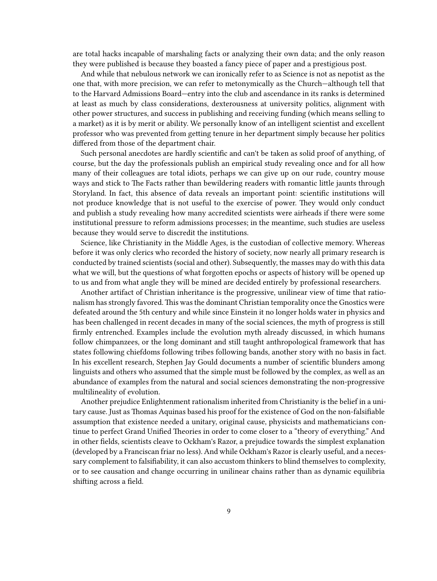are total hacks incapable of marshaling facts or analyzing their own data; and the only reason they were published is because they boasted a fancy piece of paper and a prestigious post.

And while that nebulous network we can ironically refer to as Science is not as nepotist as the one that, with more precision, we can refer to metonymically as the Church—although tell that to the Harvard Admissions Board—entry into the club and ascendance in its ranks is determined at least as much by class considerations, dexterousness at university politics, alignment with other power structures, and success in publishing and receiving funding (which means selling to a market) as it is by merit or ability. We personally know of an intelligent scientist and excellent professor who was prevented from getting tenure in her department simply because her politics differed from those of the department chair.

Such personal anecdotes are hardly scientific and can't be taken as solid proof of anything, of course, but the day the professionals publish an empirical study revealing once and for all how many of their colleagues are total idiots, perhaps we can give up on our rude, country mouse ways and stick to The Facts rather than bewildering readers with romantic little jaunts through Storyland. In fact, this absence of data reveals an important point: scientific institutions will not produce knowledge that is not useful to the exercise of power. They would only conduct and publish a study revealing how many accredited scientists were airheads if there were some institutional pressure to reform admissions processes; in the meantime, such studies are useless because they would serve to discredit the institutions.

Science, like Christianity in the Middle Ages, is the custodian of collective memory. Whereas before it was only clerics who recorded the history of society, now nearly all primary research is conducted by trained scientists (social and other). Subsequently, the masses may do with this data what we will, but the questions of what forgotten epochs or aspects of history will be opened up to us and from what angle they will be mined are decided entirely by professional researchers.

Another artifact of Christian inheritance is the progressive, unilinear view of time that rationalism has strongly favored. This was the dominant Christian temporality once the Gnostics were defeated around the 5th century and while since Einstein it no longer holds water in physics and has been challenged in recent decades in many of the social sciences, the myth of progress is still firmly entrenched. Examples include the evolution myth already discussed, in which humans follow chimpanzees, or the long dominant and still taught anthropological framework that has states following chiefdoms following tribes following bands, another story with no basis in fact. In his excellent research, Stephen Jay Gould documents a number of scientific blunders among linguists and others who assumed that the simple must be followed by the complex, as well as an abundance of examples from the natural and social sciences demonstrating the non-progressive multilineality of evolution.

Another prejudice Enlightenment rationalism inherited from Christianity is the belief in a unitary cause. Just as Thomas Aquinas based his proof for the existence of God on the non-falsifiable assumption that existence needed a unitary, original cause, physicists and mathematicians continue to perfect Grand Unified Theories in order to come closer to a "theory of everything." And in other fields, scientists cleave to Ockham's Razor, a prejudice towards the simplest explanation (developed by a Franciscan friar no less). And while Ockham's Razor is clearly useful, and a necessary complement to falsifiability, it can also accustom thinkers to blind themselves to complexity, or to see causation and change occurring in unilinear chains rather than as dynamic equilibria shifting across a field.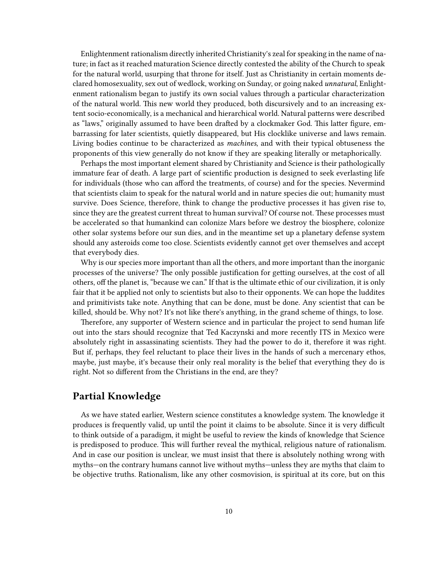Enlightenment rationalism directly inherited Christianity's zeal for speaking in the name of nature; in fact as it reached maturation Science directly contested the ability of the Church to speak for the natural world, usurping that throne for itself. Just as Christianity in certain moments declared homosexuality, sex out of wedlock, working on Sunday, or going naked *unnatural*, Enlightenment rationalism began to justify its own social values through a particular characterization of the natural world. This new world they produced, both discursively and to an increasing extent socio-economically, is a mechanical and hierarchical world. Natural patterns were described as "laws," originally assumed to have been drafted by a clockmaker God. This latter figure, embarrassing for later scientists, quietly disappeared, but His clocklike universe and laws remain. Living bodies continue to be characterized as *machines*, and with their typical obtuseness the proponents of this view generally do not know if they are speaking literally or metaphorically.

Perhaps the most important element shared by Christianity and Science is their pathologically immature fear of death. A large part of scientific production is designed to seek everlasting life for individuals (those who can afford the treatments, of course) and for the species. Nevermind that scientists claim to speak for the natural world and in nature species die out; humanity must survive. Does Science, therefore, think to change the productive processes it has given rise to, since they are the greatest current threat to human survival? Of course not. These processes must be accelerated so that humankind can colonize Mars before we destroy the biosphere, colonize other solar systems before our sun dies, and in the meantime set up a planetary defense system should any asteroids come too close. Scientists evidently cannot get over themselves and accept that everybody dies.

Why is our species more important than all the others, and more important than the inorganic processes of the universe? The only possible justification for getting ourselves, at the cost of all others, off the planet is, "because we can." If that is the ultimate ethic of our civilization, it is only fair that it be applied not only to scientists but also to their opponents. We can hope the luddites and primitivists take note. Anything that can be done, must be done. Any scientist that can be killed, should be. Why not? It's not like there's anything, in the grand scheme of things, to lose.

Therefore, any supporter of Western science and in particular the project to send human life out into the stars should recognize that Ted Kaczynski and more recently ITS in Mexico were absolutely right in assassinating scientists. They had the power to do it, therefore it was right. But if, perhaps, they feel reluctant to place their lives in the hands of such a mercenary ethos, maybe, just maybe, it's because their only real morality is the belief that everything they do is right. Not so different from the Christians in the end, are they?

## <span id="page-9-0"></span>**Partial Knowledge**

As we have stated earlier, Western science constitutes a knowledge system. The knowledge it produces is frequently valid, up until the point it claims to be absolute. Since it is very difficult to think outside of a paradigm, it might be useful to review the kinds of knowledge that Science is predisposed to produce. This will further reveal the mythical, religious nature of rationalism. And in case our position is unclear, we must insist that there is absolutely nothing wrong with myths—on the contrary humans cannot live without myths—unless they are myths that claim to be objective truths. Rationalism, like any other cosmovision, is spiritual at its core, but on this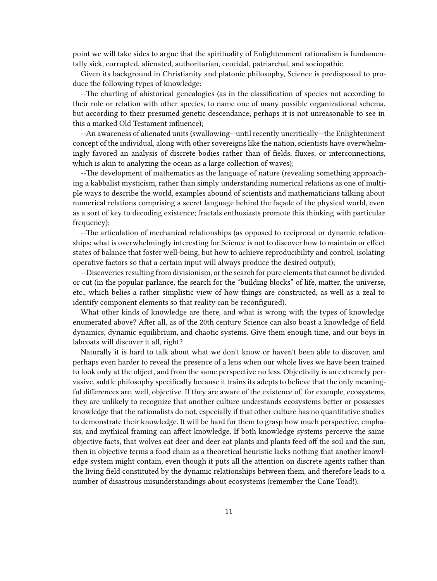point we will take sides to argue that the spirituality of Enlightenment rationalism is fundamentally sick, corrupted, alienated, authoritarian, ecocidal, patriarchal, and sociopathic.

Given its background in Christianity and platonic philosophy, Science is predisposed to produce the following types of knowledge:

--The charting of ahistorical genealogies (as in the classification of species not according to their role or relation with other species, to name one of many possible organizational schema, but according to their presumed genetic descendance; perhaps it is not unreasonable to see in this a marked Old Testament influence);

--An awareness of alienated units (swallowing—until recently uncritically—the Enlightenment concept of the individual, along with other sovereigns like the nation, scientists have overwhelmingly favored an analysis of discrete bodies rather than of fields, fluxes, or interconnections, which is akin to analyzing the ocean as a large collection of waves);

--The development of mathematics as the language of nature (revealing something approaching a kabbalist mysticism, rather than simply understanding numerical relations as one of multiple ways to describe the world, examples abound of scientists and mathematicians talking about numerical relations comprising a secret language behind the façade of the physical world, even as a sort of key to decoding existence; fractals enthusiasts promote this thinking with particular frequency);

--The articulation of mechanical relationships (as opposed to reciprocal or dynamic relationships: what is overwhelmingly interesting for Science is not to discover how to maintain or effect states of balance that foster well-being, but how to achieve reproducibility and control, isolating operative factors so that a certain input will always produce the desired output);

--Discoveries resulting from divisionism, or the search for pure elements that cannot be divided or cut (in the popular parlance, the search for the "building blocks" of life, matter, the universe, etc., which belies a rather simplistic view of how things are constructed, as well as a zeal to identify component elements so that reality can be reconfigured).

What other kinds of knowledge are there, and what is wrong with the types of knowledge enumerated above? After all, as of the 20th century Science can also boast a knowledge of field dynamics, dynamic equilibrium, and chaotic systems. Give them enough time, and our boys in labcoats will discover it all, right?

Naturally it is hard to talk about what we don't know or haven't been able to discover, and perhaps even harder to reveal the presence of a lens when our whole lives we have been trained to look only at the object, and from the same perspective no less. Objectivity is an extremely pervasive, subtle philosophy specifically because it trains its adepts to believe that the only meaningful differences are, well, objective. If they are aware of the existence of, for example, ecosystems, they are unlikely to recognize that another culture understands ecosystems better or possesses knowledge that the rationalists do not, especially if that other culture has no quantitative studies to demonstrate their knowledge. It will be hard for them to grasp how much perspective, emphasis, and mythical framing can affect knowledge. If both knowledge systems perceive the same objective facts, that wolves eat deer and deer eat plants and plants feed off the soil and the sun, then in objective terms a food chain as a theoretical heuristic lacks nothing that another knowledge system might contain, even though it puts all the attention on discrete agents rather than the living field constituted by the dynamic relationships between them, and therefore leads to a number of disastrous misunderstandings about ecosystems (remember the Cane Toad!).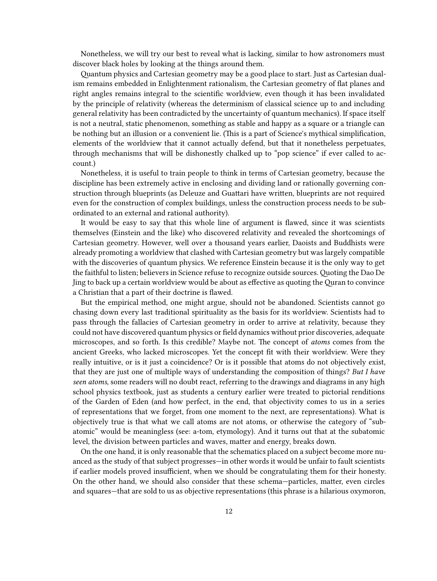Nonetheless, we will try our best to reveal what is lacking, similar to how astronomers must discover black holes by looking at the things around them.

Quantum physics and Cartesian geometry may be a good place to start. Just as Cartesian dualism remains embedded in Enlightenment rationalism, the Cartesian geometry of flat planes and right angles remains integral to the scientific worldview, even though it has been invalidated by the principle of relativity (whereas the determinism of classical science up to and including general relativity has been contradicted by the uncertainty of quantum mechanics). If space itself is not a neutral, static phenomenon, something as stable and happy as a square or a triangle can be nothing but an illusion or a convenient lie. (This is a part of Science's mythical simplification, elements of the worldview that it cannot actually defend, but that it nonetheless perpetuates, through mechanisms that will be dishonestly chalked up to "pop science" if ever called to account.)

Nonetheless, it is useful to train people to think in terms of Cartesian geometry, because the discipline has been extremely active in enclosing and dividing land or rationally governing construction through blueprints (as Deleuze and Guattari have written, blueprints are not required even for the construction of complex buildings, unless the construction process needs to be subordinated to an external and rational authority).

It would be easy to say that this whole line of argument is flawed, since it was scientists themselves (Einstein and the like) who discovered relativity and revealed the shortcomings of Cartesian geometry. However, well over a thousand years earlier, Daoists and Buddhists were already promoting a worldview that clashed with Cartesian geometry but was largely compatible with the discoveries of quantum physics. We reference Einstein because it is the only way to get the faithful to listen; believers in Science refuse to recognize outside sources.Quoting the Dao De Jing to back up a certain worldview would be about as effective as quoting theQuran to convince a Christian that a part of their doctrine is flawed.

But the empirical method, one might argue, should not be abandoned. Scientists cannot go chasing down every last traditional spirituality as the basis for its worldview. Scientists had to pass through the fallacies of Cartesian geometry in order to arrive at relativity, because they could not have discovered quantum physics or field dynamics without prior discoveries, adequate microscopes, and so forth. Is this credible? Maybe not. The concept of *atoms* comes from the ancient Greeks, who lacked microscopes. Yet the concept fit with their worldview. Were they really intuitive, or is it just a coincidence? Or is it possible that atoms do not objectively exist, that they are just one of multiple ways of understanding the composition of things? *But I have seen atoms*, some readers will no doubt react, referring to the drawings and diagrams in any high school physics textbook, just as students a century earlier were treated to pictorial renditions of the Garden of Eden (and how perfect, in the end, that objectivity comes to us in a series of representations that we forget, from one moment to the next, are representations). What is objectively true is that what we call atoms are not atoms, or otherwise the category of "subatomic" would be meaningless (see: a-tom, etymology). And it turns out that at the subatomic level, the division between particles and waves, matter and energy, breaks down.

On the one hand, it is only reasonable that the schematics placed on a subject become more nuanced as the study of that subject progresses—in other words it would be unfair to fault scientists if earlier models proved insufficient, when we should be congratulating them for their honesty. On the other hand, we should also consider that these schema—particles, matter, even circles and squares—that are sold to us as objective representations (this phrase is a hilarious oxymoron,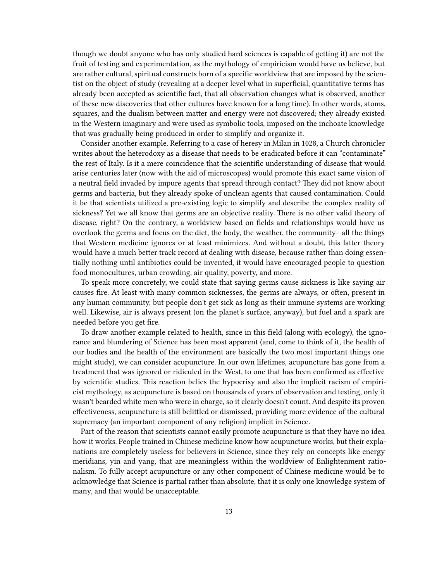though we doubt anyone who has only studied hard sciences is capable of getting it) are not the fruit of testing and experimentation, as the mythology of empiricism would have us believe, but are rather cultural, spiritual constructs born of a specific worldview that are imposed by the scientist on the object of study (revealing at a deeper level what in superficial, quantitative terms has already been accepted as scientific fact, that all observation changes what is observed, another of these new discoveries that other cultures have known for a long time). In other words, atoms, squares, and the dualism between matter and energy were not discovered; they already existed in the Western imaginary and were used as symbolic tools, imposed on the inchoate knowledge that was gradually being produced in order to simplify and organize it.

Consider another example. Referring to a case of heresy in Milan in 1028, a Church chronicler writes about the heterodoxy as a disease that needs to be eradicated before it can "contaminate" the rest of Italy. Is it a mere coincidence that the scientific understanding of disease that would arise centuries later (now with the aid of microscopes) would promote this exact same vision of a neutral field invaded by impure agents that spread through contact? They did not know about germs and bacteria, but they already spoke of unclean agents that caused contamination. Could it be that scientists utilized a pre-existing logic to simplify and describe the complex reality of sickness? Yet we all know that germs are an objective reality. There is no other valid theory of disease, right? On the contrary, a worldview based on fields and relationships would have us overlook the germs and focus on the diet, the body, the weather, the community—all the things that Western medicine ignores or at least minimizes. And without a doubt, this latter theory would have a much better track record at dealing with disease, because rather than doing essentially nothing until antibiotics could be invented, it would have encouraged people to question food monocultures, urban crowding, air quality, poverty, and more.

To speak more concretely, we could state that saying germs cause sickness is like saying air causes fire. At least with many common sicknesses, the germs are always, or often, present in any human community, but people don't get sick as long as their immune systems are working well. Likewise, air is always present (on the planet's surface, anyway), but fuel and a spark are needed before you get fire.

To draw another example related to health, since in this field (along with ecology), the ignorance and blundering of Science has been most apparent (and, come to think of it, the health of our bodies and the health of the environment are basically the two most important things one might study), we can consider acupuncture. In our own lifetimes, acupuncture has gone from a treatment that was ignored or ridiculed in the West, to one that has been confirmed as effective by scientific studies. This reaction belies the hypocrisy and also the implicit racism of empiricist mythology, as acupuncture is based on thousands of years of observation and testing, only it wasn't bearded white men who were in charge, so it clearly doesn't count. And despite its proven effectiveness, acupuncture is still belittled or dismissed, providing more evidence of the cultural supremacy (an important component of any religion) implicit in Science.

Part of the reason that scientists cannot easily promote acupuncture is that they have no idea how it works. People trained in Chinese medicine know how acupuncture works, but their explanations are completely useless for believers in Science, since they rely on concepts like energy meridians, yin and yang, that are meaningless within the worldview of Enlightenment rationalism. To fully accept acupuncture or any other component of Chinese medicine would be to acknowledge that Science is partial rather than absolute, that it is only one knowledge system of many, and that would be unacceptable.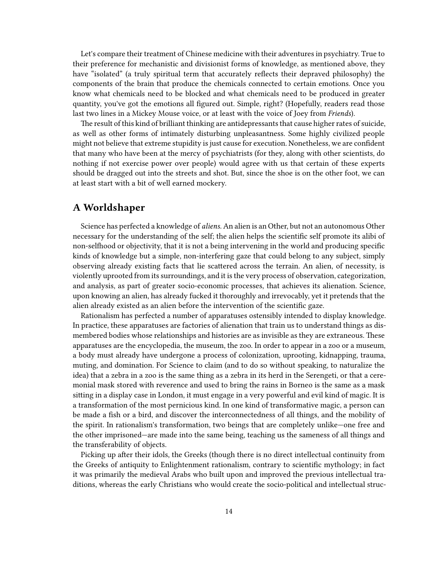Let's compare their treatment of Chinese medicine with their adventures in psychiatry. True to their preference for mechanistic and divisionist forms of knowledge, as mentioned above, they have "isolated" (a truly spiritual term that accurately reflects their depraved philosophy) the components of the brain that produce the chemicals connected to certain emotions. Once you know what chemicals need to be blocked and what chemicals need to be produced in greater quantity, you've got the emotions all figured out. Simple, right? (Hopefully, readers read those last two lines in a Mickey Mouse voice, or at least with the voice of Joey from *Friends*).

The result of this kind of brilliant thinking are antidepressants that cause higher rates of suicide, as well as other forms of intimately disturbing unpleasantness. Some highly civilized people might not believe that extreme stupidity is just cause for execution. Nonetheless, we are confident that many who have been at the mercy of psychiatrists (for they, along with other scientists, do nothing if not exercise power over people) would agree with us that certain of these experts should be dragged out into the streets and shot. But, since the shoe is on the other foot, we can at least start with a bit of well earned mockery.

#### <span id="page-13-0"></span>**A Worldshaper**

Science has perfected a knowledge of *aliens.* An alien is an Other, but not an autonomous Other necessary for the understanding of the self; the alien helps the scientific self promote its alibi of non-selfhood or objectivity, that it is not a being intervening in the world and producing specific kinds of knowledge but a simple, non-interfering gaze that could belong to any subject, simply observing already existing facts that lie scattered across the terrain. An alien, of necessity, is violently uprooted from its surroundings, and it is the very process of observation, categorization, and analysis, as part of greater socio-economic processes, that achieves its alienation. Science, upon knowing an alien, has already fucked it thoroughly and irrevocably, yet it pretends that the alien already existed as an alien before the intervention of the scientific gaze.

Rationalism has perfected a number of apparatuses ostensibly intended to display knowledge. In practice, these apparatuses are factories of alienation that train us to understand things as dismembered bodies whose relationships and histories are as invisible as they are extraneous. These apparatuses are the encyclopedia, the museum, the zoo. In order to appear in a zoo or a museum, a body must already have undergone a process of colonization, uprooting, kidnapping, trauma, muting, and domination. For Science to claim (and to do so without speaking, to naturalize the idea) that a zebra in a zoo is the same thing as a zebra in its herd in the Serengeti, or that a ceremonial mask stored with reverence and used to bring the rains in Borneo is the same as a mask sitting in a display case in London, it must engage in a very powerful and evil kind of magic. It is a transformation of the most pernicious kind. In one kind of transformative magic, a person can be made a fish or a bird, and discover the interconnectedness of all things, and the mobility of the spirit. In rationalism's transformation, two beings that are completely unlike—one free and the other imprisoned—are made into the same being, teaching us the sameness of all things and the transferability of objects.

Picking up after their idols, the Greeks (though there is no direct intellectual continuity from the Greeks of antiquity to Enlightenment rationalism, contrary to scientific mythology; in fact it was primarily the medieval Arabs who built upon and improved the previous intellectual traditions, whereas the early Christians who would create the socio-political and intellectual struc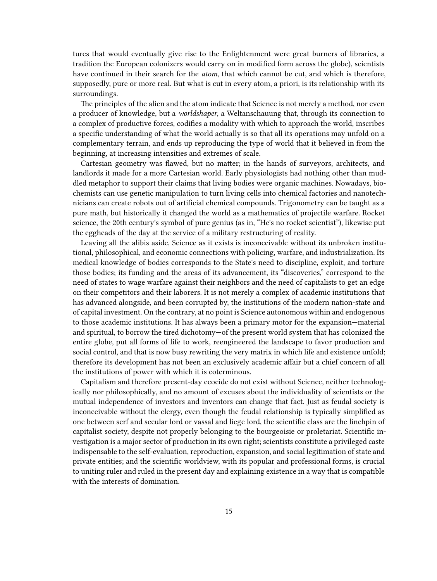tures that would eventually give rise to the Enlightenment were great burners of libraries, a tradition the European colonizers would carry on in modified form across the globe), scientists have continued in their search for the *atom*, that which cannot be cut, and which is therefore, supposedly, pure or more real. But what is cut in every atom, a priori, is its relationship with its surroundings.

The principles of the alien and the atom indicate that Science is not merely a method, nor even a producer of knowledge, but a *worldshaper*, a Weltanschauung that, through its connection to a complex of productive forces, codifies a modality with which to approach the world, inscribes a specific understanding of what the world actually is so that all its operations may unfold on a complementary terrain, and ends up reproducing the type of world that it believed in from the beginning, at increasing intensities and extremes of scale.

Cartesian geometry was flawed, but no matter; in the hands of surveyors, architects, and landlords it made for a more Cartesian world. Early physiologists had nothing other than muddled metaphor to support their claims that living bodies were organic machines. Nowadays, biochemists can use genetic manipulation to turn living cells into chemical factories and nanotechnicians can create robots out of artificial chemical compounds. Trigonometry can be taught as a pure math, but historically it changed the world as a mathematics of projectile warfare. Rocket science, the 20th century's symbol of pure genius (as in, "He's no rocket scientist"), likewise put the eggheads of the day at the service of a military restructuring of reality.

Leaving all the alibis aside, Science as it exists is inconceivable without its unbroken institutional, philosophical, and economic connections with policing, warfare, and industrialization. Its medical knowledge of bodies corresponds to the State's need to discipline, exploit, and torture those bodies; its funding and the areas of its advancement, its "discoveries," correspond to the need of states to wage warfare against their neighbors and the need of capitalists to get an edge on their competitors and their laborers. It is not merely a complex of academic institutions that has advanced alongside, and been corrupted by, the institutions of the modern nation-state and of capital investment. On the contrary, at no point is Science autonomous within and endogenous to those academic institutions. It has always been a primary motor for the expansion—material and spiritual, to borrow the tired dichotomy—of the present world system that has colonized the entire globe, put all forms of life to work, reengineered the landscape to favor production and social control, and that is now busy rewriting the very matrix in which life and existence unfold; therefore its development has not been an exclusively academic affair but a chief concern of all the institutions of power with which it is coterminous.

Capitalism and therefore present-day ecocide do not exist without Science, neither technologically nor philosophically, and no amount of excuses about the individuality of scientists or the mutual independence of investors and inventors can change that fact. Just as feudal society is inconceivable without the clergy, even though the feudal relationship is typically simplified as one between serf and secular lord or vassal and liege lord, the scientific class are the linchpin of capitalist society, despite not properly belonging to the bourgeoisie or proletariat. Scientific investigation is a major sector of production in its own right; scientists constitute a privileged caste indispensable to the self-evaluation, reproduction, expansion, and social legitimation of state and private entities; and the scientific worldview, with its popular and professional forms, is crucial to uniting ruler and ruled in the present day and explaining existence in a way that is compatible with the interests of domination.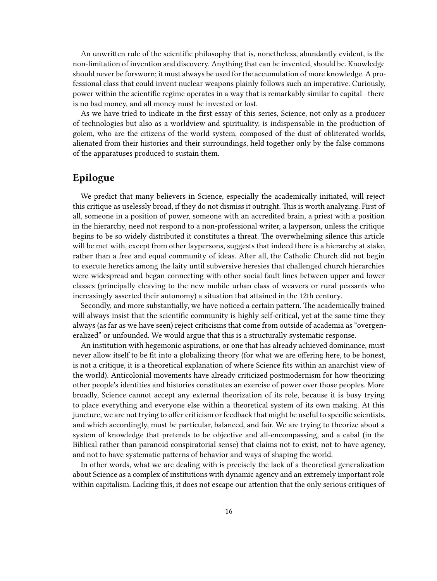An unwritten rule of the scientific philosophy that is, nonetheless, abundantly evident, is the non-limitation of invention and discovery. Anything that can be invented, should be. Knowledge should never be forsworn; it must always be used for the accumulation of more knowledge. A professional class that could invent nuclear weapons plainly follows such an imperative. Curiously, power within the scientific regime operates in a way that is remarkably similar to capital—there is no bad money, and all money must be invested or lost.

As we have tried to indicate in the first essay of this series, Science, not only as a producer of technologies but also as a worldview and spirituality, is indispensable in the production of golem, who are the citizens of the world system, composed of the dust of obliterated worlds, alienated from their histories and their surroundings, held together only by the false commons of the apparatuses produced to sustain them.

## <span id="page-15-0"></span>**Epilogue**

We predict that many believers in Science, especially the academically initiated, will reject this critique as uselessly broad, if they do not dismiss it outright. This is worth analyzing. First of all, someone in a position of power, someone with an accredited brain, a priest with a position in the hierarchy, need not respond to a non-professional writer, a layperson, unless the critique begins to be so widely distributed it constitutes a threat. The overwhelming silence this article will be met with, except from other laypersons, suggests that indeed there is a hierarchy at stake, rather than a free and equal community of ideas. After all, the Catholic Church did not begin to execute heretics among the laity until subversive heresies that challenged church hierarchies were widespread and began connecting with other social fault lines between upper and lower classes (principally cleaving to the new mobile urban class of weavers or rural peasants who increasingly asserted their autonomy) a situation that attained in the 12th century.

Secondly, and more substantially, we have noticed a certain pattern. The academically trained will always insist that the scientific community is highly self-critical, yet at the same time they always (as far as we have seen) reject criticisms that come from outside of academia as "overgeneralized" or unfounded. We would argue that this is a structurally systematic response.

An institution with hegemonic aspirations, or one that has already achieved dominance, must never allow itself to be fit into a globalizing theory (for what we are offering here, to be honest, is not a critique, it is a theoretical explanation of where Science fits within an anarchist view of the world). Anticolonial movements have already criticized postmodernism for how theorizing other people's identities and histories constitutes an exercise of power over those peoples. More broadly, Science cannot accept any external theorization of its role, because it is busy trying to place everything and everyone else within a theoretical system of its own making. At this juncture, we are not trying to offer criticism or feedback that might be useful to specific scientists, and which accordingly, must be particular, balanced, and fair. We are trying to theorize about a system of knowledge that pretends to be objective and all-encompassing, and a cabal (in the Biblical rather than paranoid conspiratorial sense) that claims not to exist, not to have agency, and not to have systematic patterns of behavior and ways of shaping the world.

In other words, what we are dealing with is precisely the lack of a theoretical generalization about Science as a complex of institutions with dynamic agency and an extremely important role within capitalism. Lacking this, it does not escape our attention that the only serious critiques of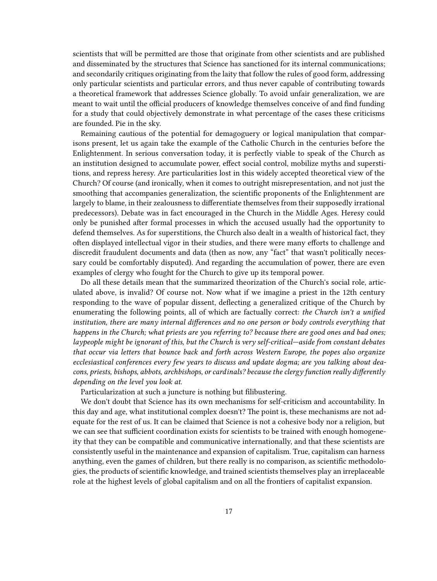scientists that will be permitted are those that originate from other scientists and are published and disseminated by the structures that Science has sanctioned for its internal communications; and secondarily critiques originating from the laity that follow the rules of good form, addressing only particular scientists and particular errors, and thus never capable of contributing towards a theoretical framework that addresses Science globally. To avoid unfair generalization, we are meant to wait until the official producers of knowledge themselves conceive of and find funding for a study that could objectively demonstrate in what percentage of the cases these criticisms are founded. Pie in the sky.

Remaining cautious of the potential for demagoguery or logical manipulation that comparisons present, let us again take the example of the Catholic Church in the centuries before the Enlightenment. In serious conversation today, it is perfectly viable to speak of the Church as an institution designed to accumulate power, effect social control, mobilize myths and superstitions, and repress heresy. Are particularities lost in this widely accepted theoretical view of the Church? Of course (and ironically, when it comes to outright misrepresentation, and not just the smoothing that accompanies generalization, the scientific proponents of the Enlightenment are largely to blame, in their zealousness to differentiate themselves from their supposedly irrational predecessors). Debate was in fact encouraged in the Church in the Middle Ages. Heresy could only be punished after formal processes in which the accused usually had the opportunity to defend themselves. As for superstitions, the Church also dealt in a wealth of historical fact, they often displayed intellectual vigor in their studies, and there were many efforts to challenge and discredit fraudulent documents and data (then as now, any "fact" that wasn't politically necessary could be comfortably disputed). And regarding the accumulation of power, there are even examples of clergy who fought for the Church to give up its temporal power.

Do all these details mean that the summarized theorization of the Church's social role, articulated above, is invalid? Of course not. Now what if we imagine a priest in the 12th century responding to the wave of popular dissent, deflecting a generalized critique of the Church by enumerating the following points, all of which are factually correct: *the Church isn't a unified institution, there are many internal differences and no one person or body controls everything that happens in the Church; what priests are you referring to? because there are good ones and bad ones; laypeople might be ignorant of this, but the Church is very self-critical—aside from constant debates that occur via letters that bounce back and forth across Western Europe, the popes also organize ecclesiastical conferences every few years to discuss and update dogma; are you talking about deacons, priests, bishops, abbots, archbishops, or cardinals? because the clergy function really differently depending on the level you look at*.

Particularization at such a juncture is nothing but filibustering.

We don't doubt that Science has its own mechanisms for self-criticism and accountability. In this day and age, what institutional complex doesn't? The point is, these mechanisms are not adequate for the rest of us. It can be claimed that Science is not a cohesive body nor a religion, but we can see that sufficient coordination exists for scientists to be trained with enough homogeneity that they can be compatible and communicative internationally, and that these scientists are consistently useful in the maintenance and expansion of capitalism. True, capitalism can harness anything, even the games of children, but there really is no comparison, as scientific methodologies, the products of scientific knowledge, and trained scientists themselves play an irreplaceable role at the highest levels of global capitalism and on all the frontiers of capitalist expansion.